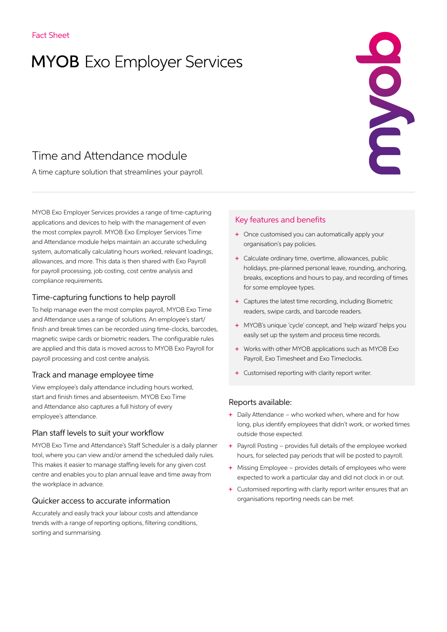# **MYOB** Exo Employer Services

# Time and Attendance module

A time capture solution that streamlines your payroll.

MYOB Exo Employer Services provides a range of time-capturing applications and devices to help with the management of even the most complex payroll. MYOB Exo Employer Services Time and Attendance module helps maintain an accurate scheduling system, automatically calculating hours worked, relevant loadings, allowances, and more. This data is then shared with Exo Payroll for payroll processing, job costing, cost centre analysis and compliance requirements.

# Time-capturing functions to help payroll

To help manage even the most complex payroll, MYOB Exo Time and Attendance uses a range of solutions. An employee's start/ finish and break times can be recorded using time-clocks, barcodes, magnetic swipe cards or biometric readers. The configurable rules are applied and this data is moved across to MYOB Exo Payroll for payroll processing and cost centre analysis.

# Track and manage employee time

View employee's daily attendance including hours worked, start and finish times and absenteeism. MYOB Exo Time and Attendance also captures a full history of every employee's attendance.

# Plan staff levels to suit your workflow

MYOB Exo Time and Attendance's Staff Scheduler is a daily planner tool, where you can view and/or amend the scheduled daily rules. This makes it easier to manage staffing levels for any given cost centre and enables you to plan annual leave and time away from the workplace in advance.

# Quicker access to accurate information

Accurately and easily track your labour costs and attendance trends with a range of reporting options, filtering conditions, sorting and summarising.

# Key features and benefits

- + Once customised you can automatically apply your organisation's pay policies.
- + Calculate ordinary time, overtime, allowances, public holidays, pre-planned personal leave, rounding, anchoring, breaks, exceptions and hours to pay, and recording of times for some employee types.

ENDE

- + Captures the latest time recording, including Biometric readers, swipe cards, and barcode readers.
- + MYOB's unique 'cycle' concept, and 'help wizard' helps you easily set up the system and process time records.
- + Works with other MYOB applications such as MYOB Exo Payroll, Exo Timesheet and Exo Timeclocks.
- + Customised reporting with clarity report writer.

# Reports available:

- + Daily Attendance who worked when, where and for how long, plus identify employees that didn't work, or worked times outside those expected.
- + Payroll Posting provides full details of the employee worked hours, for selected pay periods that will be posted to payroll.
- + Missing Employee provides details of employees who were expected to work a particular day and did not clock in or out.
- + Customised reporting with clarity report writer ensures that an organisations reporting needs can be met.